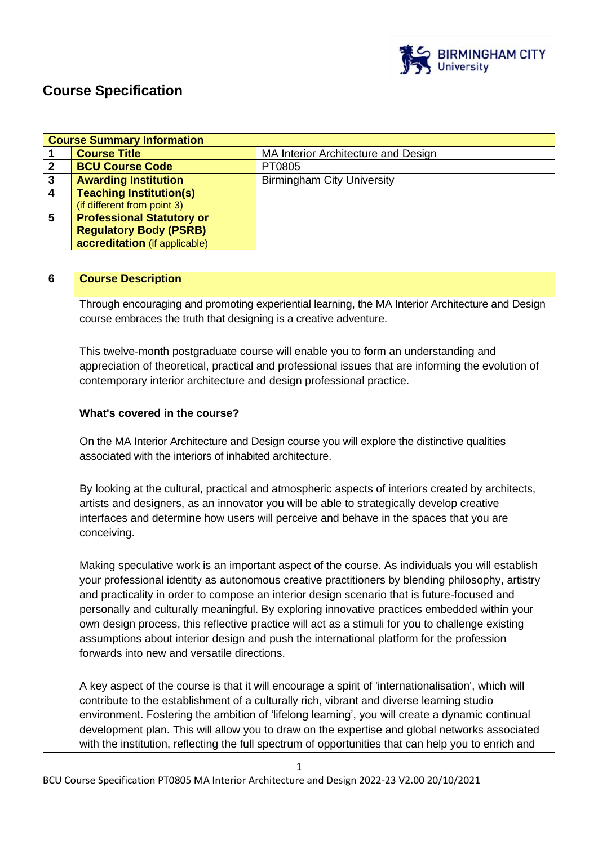

# **Course Specification**

| <b>Course Summary Information</b> |                                  |                                     |
|-----------------------------------|----------------------------------|-------------------------------------|
|                                   | <b>Course Title</b>              | MA Interior Architecture and Design |
|                                   | <b>BCU Course Code</b>           | PT0805                              |
| 3                                 | <b>Awarding Institution</b>      | <b>Birmingham City University</b>   |
|                                   | <b>Teaching Institution(s)</b>   |                                     |
|                                   | (if different from point 3)      |                                     |
| 5                                 | <b>Professional Statutory or</b> |                                     |
|                                   | <b>Regulatory Body (PSRB)</b>    |                                     |
|                                   | accreditation (if applicable)    |                                     |

| 6 | <b>Course Description</b>                                                                                                                                                                                                                                                                                                                                                                                                                                                                                                                                                                                                                         |
|---|---------------------------------------------------------------------------------------------------------------------------------------------------------------------------------------------------------------------------------------------------------------------------------------------------------------------------------------------------------------------------------------------------------------------------------------------------------------------------------------------------------------------------------------------------------------------------------------------------------------------------------------------------|
|   | Through encouraging and promoting experiential learning, the MA Interior Architecture and Design<br>course embraces the truth that designing is a creative adventure.                                                                                                                                                                                                                                                                                                                                                                                                                                                                             |
|   | This twelve-month postgraduate course will enable you to form an understanding and<br>appreciation of theoretical, practical and professional issues that are informing the evolution of<br>contemporary interior architecture and design professional practice.                                                                                                                                                                                                                                                                                                                                                                                  |
|   | What's covered in the course?                                                                                                                                                                                                                                                                                                                                                                                                                                                                                                                                                                                                                     |
|   | On the MA Interior Architecture and Design course you will explore the distinctive qualities<br>associated with the interiors of inhabited architecture.                                                                                                                                                                                                                                                                                                                                                                                                                                                                                          |
|   | By looking at the cultural, practical and atmospheric aspects of interiors created by architects,<br>artists and designers, as an innovator you will be able to strategically develop creative<br>interfaces and determine how users will perceive and behave in the spaces that you are<br>conceiving.                                                                                                                                                                                                                                                                                                                                           |
|   | Making speculative work is an important aspect of the course. As individuals you will establish<br>your professional identity as autonomous creative practitioners by blending philosophy, artistry<br>and practicality in order to compose an interior design scenario that is future-focused and<br>personally and culturally meaningful. By exploring innovative practices embedded within your<br>own design process, this reflective practice will act as a stimuli for you to challenge existing<br>assumptions about interior design and push the international platform for the profession<br>forwards into new and versatile directions. |
|   | A key aspect of the course is that it will encourage a spirit of 'internationalisation', which will<br>contribute to the establishment of a culturally rich, vibrant and diverse learning studio<br>environment. Fostering the ambition of 'lifelong learning', you will create a dynamic continual<br>development plan. This will allow you to draw on the expertise and global networks associated                                                                                                                                                                                                                                              |
|   | with the institution, reflecting the full spectrum of opportunities that can help you to enrich and                                                                                                                                                                                                                                                                                                                                                                                                                                                                                                                                               |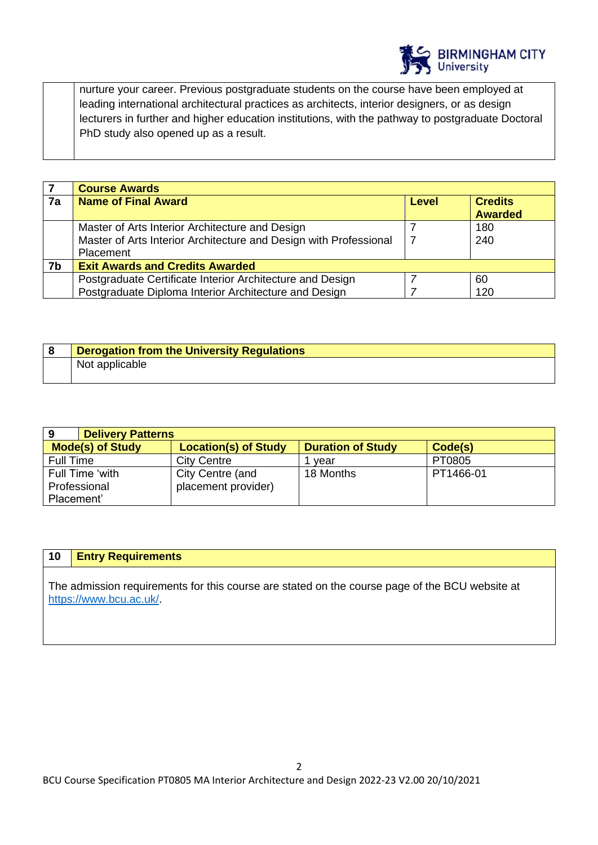

nurture your career. Previous postgraduate students on the course have been employed at leading international architectural practices as architects, interior designers, or as design lecturers in further and higher education institutions, with the pathway to postgraduate Doctoral PhD study also opened up as a result.

|    | <b>Course Awards</b>                                              |              |                |
|----|-------------------------------------------------------------------|--------------|----------------|
| 7a | <b>Name of Final Award</b>                                        | <b>Level</b> | <b>Credits</b> |
|    |                                                                   |              | <b>Awarded</b> |
|    | Master of Arts Interior Architecture and Design                   |              | 180            |
|    | Master of Arts Interior Architecture and Design with Professional |              | 240            |
|    | Placement                                                         |              |                |
| 7b | <b>Exit Awards and Credits Awarded</b>                            |              |                |
|    | Postgraduate Certificate Interior Architecture and Design         |              | 60             |
|    | Postgraduate Diploma Interior Architecture and Design             |              | 120            |

| <b>Derogation from the University Regulations</b> |
|---------------------------------------------------|
| Not applicable                                    |

| 9                       | <b>Delivery Patterns</b>    |                          |           |  |
|-------------------------|-----------------------------|--------------------------|-----------|--|
| <b>Mode(s) of Study</b> | <b>Location(s) of Study</b> | <b>Duration of Study</b> | Code(s)   |  |
| Full Time               | <b>City Centre</b>          | vear                     | PT0805    |  |
| Full Time 'with         | City Centre (and            | 18 Months                | PT1466-01 |  |
| Professional            | placement provider)         |                          |           |  |
| Placement'              |                             |                          |           |  |

### **10 Entry Requirements**

The admission requirements for this course are stated on the course page of the BCU website at [https://www.bcu.ac.uk/.](https://www.bcu.ac.uk/)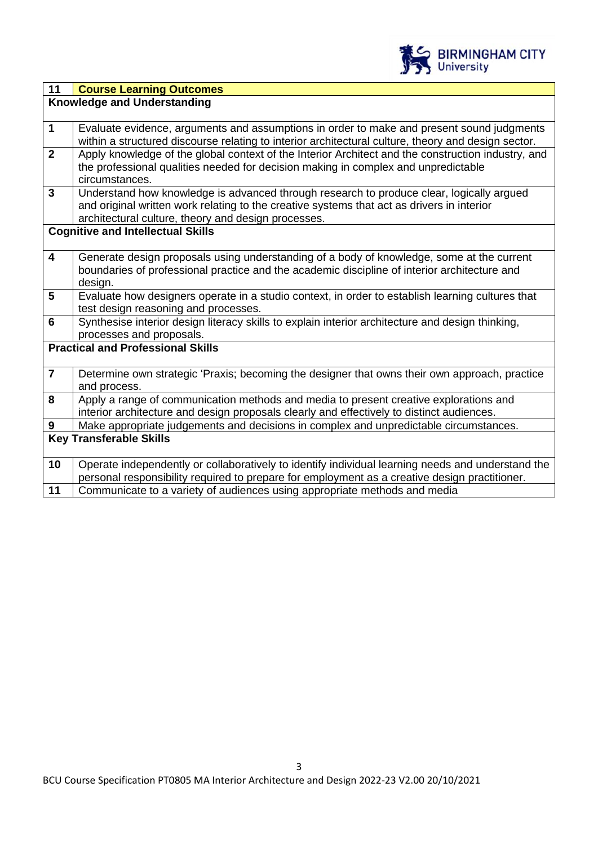

| 11                      | <b>Course Learning Outcomes</b>                                                                                                                                                                                                               |  |  |
|-------------------------|-----------------------------------------------------------------------------------------------------------------------------------------------------------------------------------------------------------------------------------------------|--|--|
|                         | <b>Knowledge and Understanding</b>                                                                                                                                                                                                            |  |  |
|                         |                                                                                                                                                                                                                                               |  |  |
| $\mathbf{1}$            | Evaluate evidence, arguments and assumptions in order to make and present sound judgments<br>within a structured discourse relating to interior architectural culture, theory and design sector.                                              |  |  |
| $\overline{2}$          | Apply knowledge of the global context of the Interior Architect and the construction industry, and<br>the professional qualities needed for decision making in complex and unpredictable<br>circumstances.                                    |  |  |
| $\mathbf{3}$            | Understand how knowledge is advanced through research to produce clear, logically argued<br>and original written work relating to the creative systems that act as drivers in interior<br>architectural culture, theory and design processes. |  |  |
|                         | <b>Cognitive and Intellectual Skills</b>                                                                                                                                                                                                      |  |  |
| $\overline{\mathbf{4}}$ | Generate design proposals using understanding of a body of knowledge, some at the current<br>boundaries of professional practice and the academic discipline of interior architecture and<br>design.                                          |  |  |
| 5                       | Evaluate how designers operate in a studio context, in order to establish learning cultures that<br>test design reasoning and processes.                                                                                                      |  |  |
| 6                       | Synthesise interior design literacy skills to explain interior architecture and design thinking,<br>processes and proposals.                                                                                                                  |  |  |
|                         | <b>Practical and Professional Skills</b>                                                                                                                                                                                                      |  |  |
| $\overline{\mathbf{7}}$ | Determine own strategic 'Praxis; becoming the designer that owns their own approach, practice<br>and process.                                                                                                                                 |  |  |
| 8                       | Apply a range of communication methods and media to present creative explorations and<br>interior architecture and design proposals clearly and effectively to distinct audiences.                                                            |  |  |
| $\boldsymbol{9}$        | Make appropriate judgements and decisions in complex and unpredictable circumstances.                                                                                                                                                         |  |  |
|                         | <b>Key Transferable Skills</b>                                                                                                                                                                                                                |  |  |
| 10                      | Operate independently or collaboratively to identify individual learning needs and understand the<br>personal responsibility required to prepare for employment as a creative design practitioner.                                            |  |  |
| 11                      | Communicate to a variety of audiences using appropriate methods and media                                                                                                                                                                     |  |  |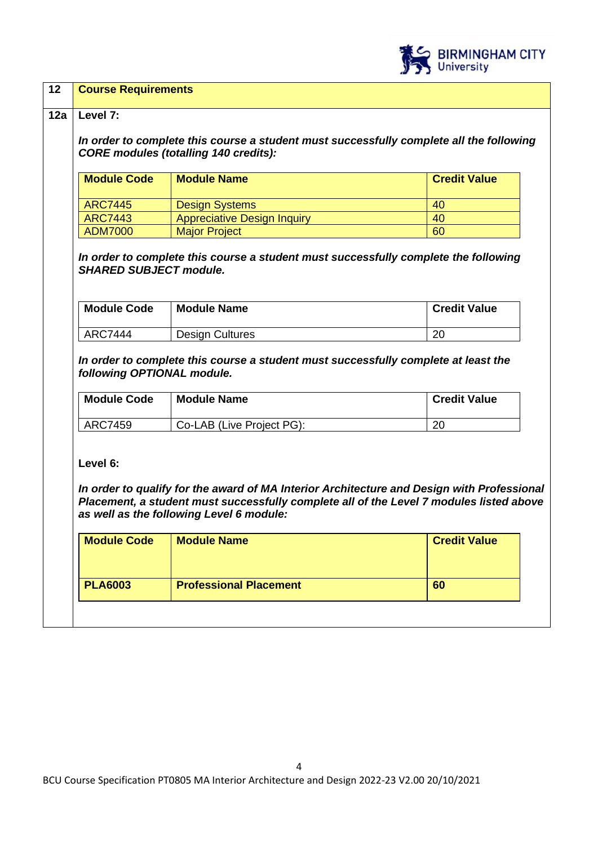

| <b>Module Code</b>                     | <b>Module Name</b>                                                                                                                                                                                                                | <b>Credit Value</b> |
|----------------------------------------|-----------------------------------------------------------------------------------------------------------------------------------------------------------------------------------------------------------------------------------|---------------------|
| <b>ARC7445</b>                         | <b>Design Systems</b>                                                                                                                                                                                                             | 40                  |
| <b>ARC7443</b>                         | <b>Appreciative Design Inquiry</b>                                                                                                                                                                                                | 40                  |
| <b>ADM7000</b>                         | <b>Major Project</b>                                                                                                                                                                                                              | 60                  |
|                                        |                                                                                                                                                                                                                                   |                     |
| <b>ARC7444</b>                         | <b>Design Cultures</b><br>In order to complete this course a student must successfully complete at least the                                                                                                                      | 20                  |
| <b>Module Code</b>                     | <b>Module Name</b>                                                                                                                                                                                                                | <b>Credit Value</b> |
| <b>ARC7459</b>                         | Co-LAB (Live Project PG):                                                                                                                                                                                                         | 20                  |
| following OPTIONAL module.<br>Level 6: | In order to qualify for the award of MA Interior Architecture and Design with Professional<br>Placement, a student must successfully complete all of the Level 7 modules listed above<br>as well as the following Level 6 module: |                     |
| <b>Module Code</b>                     | <b>Module Name</b>                                                                                                                                                                                                                | <b>Credit Value</b> |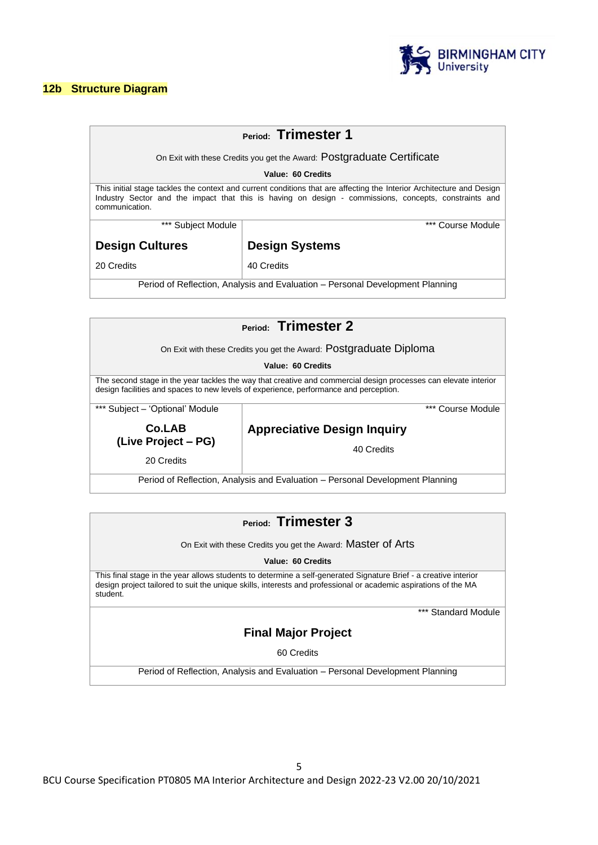#### **12b Structure Diagram**



| Period: Trimester 1                                                                                                                                                                                                                              |                                                                        |  |  |
|--------------------------------------------------------------------------------------------------------------------------------------------------------------------------------------------------------------------------------------------------|------------------------------------------------------------------------|--|--|
|                                                                                                                                                                                                                                                  |                                                                        |  |  |
|                                                                                                                                                                                                                                                  | On Exit with these Credits you get the Award: Postgraduate Certificate |  |  |
| Value: 60 Credits                                                                                                                                                                                                                                |                                                                        |  |  |
| This initial stage tackles the context and current conditions that are affecting the Interior Architecture and Design<br>Industry Sector and the impact that this is having on design - commissions, concepts, constraints and<br>communication. |                                                                        |  |  |
| *** Course Module<br>*** Subject Module                                                                                                                                                                                                          |                                                                        |  |  |
| <b>Design Cultures</b>                                                                                                                                                                                                                           | <b>Design Systems</b>                                                  |  |  |
| 20 Credits                                                                                                                                                                                                                                       | 40 Credits                                                             |  |  |
| Period of Reflection, Analysis and Evaluation – Personal Development Planning                                                                                                                                                                    |                                                                        |  |  |

| Period: Trimester 2                                                                                                                                                                                      |                                    |  |  |
|----------------------------------------------------------------------------------------------------------------------------------------------------------------------------------------------------------|------------------------------------|--|--|
| On Exit with these Credits you get the Award: Postgraduate Diploma                                                                                                                                       |                                    |  |  |
| Value: 60 Credits                                                                                                                                                                                        |                                    |  |  |
| The second stage in the year tackles the way that creative and commercial design processes can elevate interior<br>design facilities and spaces to new levels of experience, performance and perception. |                                    |  |  |
| *** Subject - 'Optional' Module                                                                                                                                                                          | *** Course Module                  |  |  |
| Co.LAB<br>(Live Project – PG)                                                                                                                                                                            | <b>Appreciative Design Inquiry</b> |  |  |
| 20 Credits                                                                                                                                                                                               | 40 Credits                         |  |  |

Period of Reflection, Analysis and Evaluation – Personal Development Planning

### **Period: Trimester 3**

On Exit with these Credits you get the Award: Master of Arts

**Value: 60 Credits**

This final stage in the year allows students to determine a self-generated Signature Brief - a creative interior design project tailored to suit the unique skills, interests and professional or academic aspirations of the MA student.

\*\*\* Standard Module

### **Final Major Project**

60 Credits

Period of Reflection, Analysis and Evaluation – Personal Development Planning